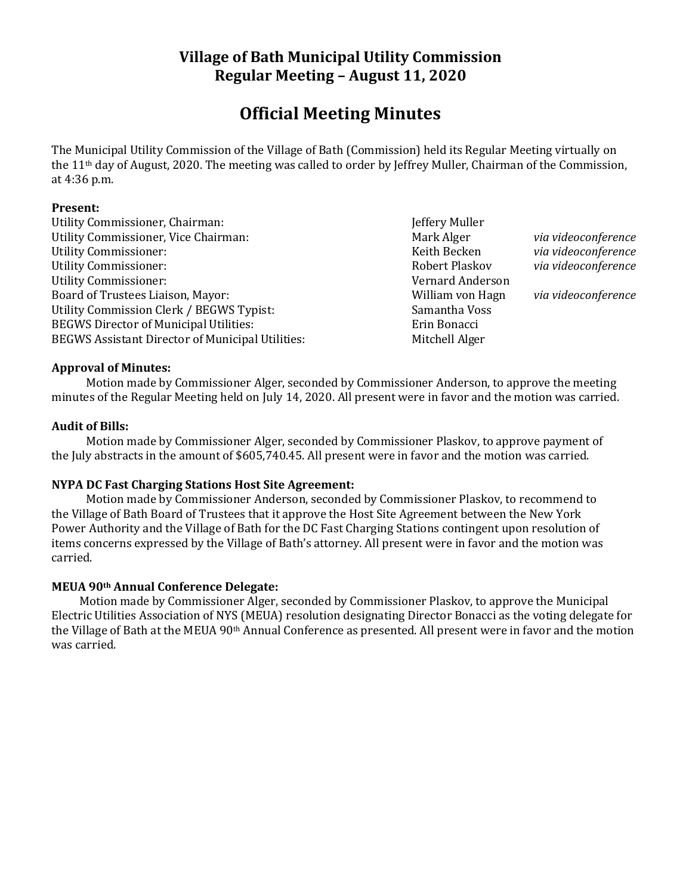# **Village of Bath Municipal Utility Commission Regular Meeting – August 11, 2020**

# **Official Meeting Minutes**

The Municipal Utility Commission of the Village of Bath (Commission) held its Regular Meeting virtually on the 11th day of August, 2020. The meeting was called to order by Jeffrey Muller, Chairman of the Commission, at 4:36 p.m.

#### **Present:**

Utility Commissioner, Chairman: Jeffery Muller Utility Commissioner, Vice Chairman: Mark Alger *Mark Alger via videoconference* Utility Commissioner: Keith Becken *via videoconference* Utility Commissioner: Robert Plaskov *via videoconference* Utility Commissioner: Vernard Anderson Board of Trustees Liaison, Mayor: William von Hagn *via videoconference* Utility Commission Clerk / BEGWS Typist: Samantha Voss BEGWS Director of Municipal Utilities: Erin Bonacci BEGWS Assistant Director of Municipal Utilities: Mitchell Alger

# **Approval of Minutes:**

Motion made by Commissioner Alger, seconded by Commissioner Anderson, to approve the meeting minutes of the Regular Meeting held on July 14, 2020. All present were in favor and the motion was carried.

# **Audit of Bills:**

Motion made by Commissioner Alger, seconded by Commissioner Plaskov, to approve payment of the July abstracts in the amount of \$605,740.45. All present were in favor and the motion was carried.

# **NYPA DC Fast Charging Stations Host Site Agreement:**

Motion made by Commissioner Anderson, seconded by Commissioner Plaskov, to recommend to the Village of Bath Board of Trustees that it approve the Host Site Agreement between the New York Power Authority and the Village of Bath for the DC Fast Charging Stations contingent upon resolution of items concerns expressed by the Village of Bath's attorney. All present were in favor and the motion was carried.

# **MEUA 90th Annual Conference Delegate:**

Motion made by Commissioner Alger, seconded by Commissioner Plaskov, to approve the Municipal Electric Utilities Association of NYS (MEUA) resolution designating Director Bonacci as the voting delegate for the Village of Bath at the MEUA 90th Annual Conference as presented. All present were in favor and the motion was carried.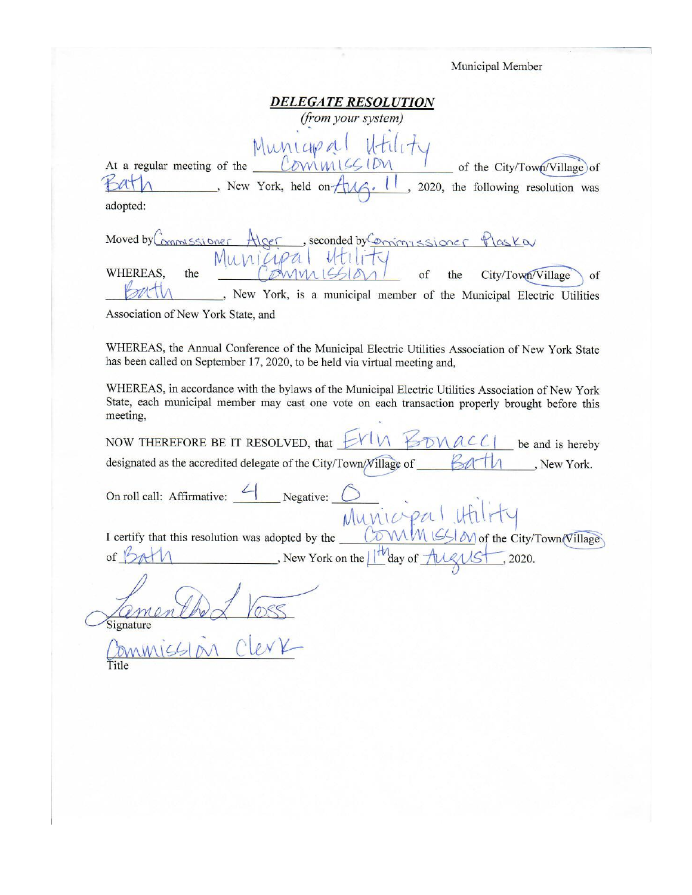| Municipal Member                                                                                                                                                                                                       |
|------------------------------------------------------------------------------------------------------------------------------------------------------------------------------------------------------------------------|
| <b>DELEGATE RESOLUTION</b><br>(from your system)                                                                                                                                                                       |
| Municipal Htility<br>At a regular meeting of the Commission Commission<br>New York, held on Aug. 11, 2020, the following resolution was<br>adopted:                                                                    |
| Moved by Commissioner Alger, seconded by Comingssioner Plaska<br>Municipal Htility<br>WHEREAS,<br>City/Town/Village<br>the<br>of<br>the<br>of<br>, New York, is a municipal member of the Municipal Electric Utilities |
| Association of New York State, and                                                                                                                                                                                     |
| WHEREAS, the Annual Conference of the Municipal Electric Utilities Association of New York State<br>has been called on September 17, 2020, to be held via virtual meeting and,                                         |
| WHEREAS, in accordance with the bylaws of the Municipal Electric Utilities Association of New York<br>State, each municipal member may cast one vote on each transaction properly brought before this<br>meeting,      |
| NOW THEREFORE BE IT RESOLVED, that $\forall Y \cup \forall$<br>DMACC1<br>be and is hereby                                                                                                                              |
| designated as the accredited delegate of the City/Town/Village of<br>, New York.                                                                                                                                       |
| On roll call: Affirmative: $\angle$ Negative:<br>Municipa                                                                                                                                                              |
| COWMMISSION of the City/Town/Village<br>I certify that this resolution was adopted by the                                                                                                                              |
| New York on the $1$ <sup>tt</sup> day of $\frac{\text{d}u}{\text{d}x}$ New York on the $1$ <sup>tt</sup> day of $\frac{\text{d}u}{\text{d}x}$ (1920.<br>of $\beta$                                                     |
| Signature                                                                                                                                                                                                              |
|                                                                                                                                                                                                                        |
|                                                                                                                                                                                                                        |